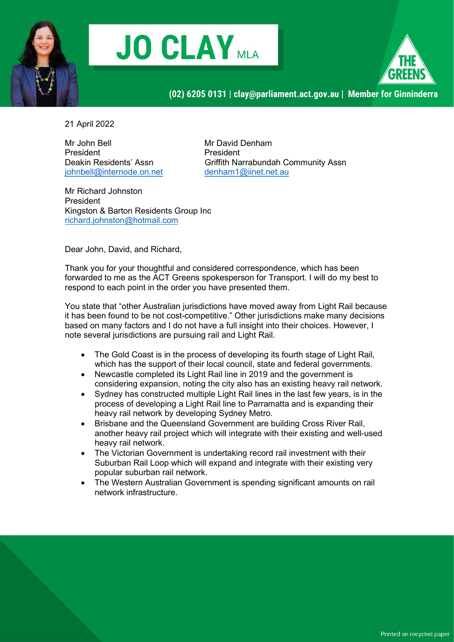





21 April 2022

Mr John Bell **Mr David Denham** President President  $johnbell@internode.$ on.net

Deakin Residents' Assn Griffith Narrabundah Community Assn<br>
johnbell@internode.on.net denham1@iinet.net.au

Mr Richard Johnston President Kingston & Barton Residents Group Inc richard.johnston@hotmail.com

Dear John, David, and Richard,

Thank you for your thoughtful and considered correspondence, which has been forwarded to me as the ACT Greens spokesperson for Transport. I will do my best to respond to each point in the order you have presented them.

You state that "other Australian jurisdictions have moved away from Light Rail because it has been found to be not cost-competitive." Other jurisdictions make many decisions based on many factors and I do not have a full insight into their choices. However, I note several jurisdictions are pursuing rail and Light Rail.

- The Gold Coast is in the process of developing its fourth stage of Light Rail, which has the support of their local council, state and federal governments.
- Newcastle completed its Light Rail line in 2019 and the government is considering expansion, noting the city also has an existing heavy rail network.
- Sydney has constructed multiple Light Rail lines in the last few years, is in the process of developing a Light Rail line to Parramatta and is expanding their heavy rail network by developing Sydney Metro.
- Brisbane and the Queensland Government are building Cross River Rail, another heavy rail project which will integrate with their existing and well-used heavy rail network.
- The Victorian Government is undertaking record rail investment with their Suburban Rail Loop which will expand and integrate with their existing very popular suburban rail network.
- The Western Australian Government is spending significant amounts on rail network infrastructure.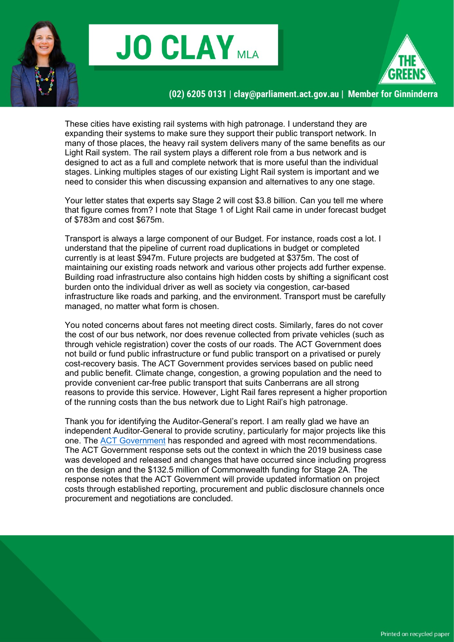





These cities have existing rail systems with high patronage. I understand they are expanding their systems to make sure they support their public transport network. In many of those places, the heavy rail system delivers many of the same benefits as our Light Rail system. The rail system plays a different role from a bus network and is designed to act as a full and complete network that is more useful than the individual stages. Linking multiples stages of our existing Light Rail system is important and we need to consider this when discussing expansion and alternatives to any one stage.

Your letter states that experts say Stage 2 will cost \$3.8 billion. Can you tell me where that figure comes from? I note that Stage 1 of Light Rail came in under forecast budget of \$783m and cost \$675m.

Transport is always a large component of our Budget. For instance, roads cost a lot. I understand that the pipeline of current road duplications in budget or completed currently is at least \$947m. Future projects are budgeted at \$375m. The cost of maintaining our existing roads network and various other projects add further expense. Building road infrastructure also contains high hidden costs by shifting a significant cost burden onto the individual driver as well as society via congestion, car-based infrastructure like roads and parking, and the environment. Transport must be carefully managed, no matter what form is chosen.

You noted concerns about fares not meeting direct costs. Similarly, fares do not cover the cost of our bus network, nor does revenue collected from private vehicles (such as through vehicle registration) cover the costs of our roads. The ACT Government does not build or fund public infrastructure or fund public transport on a privatised or purely cost-recovery basis. The ACT Government provides services based on public need and public benefit. Climate change, congestion, a growing population and the need to provide convenient car-free public transport that suits Canberrans are all strong reasons to provide this service. However, Light Rail fares represent a higher proportion of the running costs than the bus network due to Light Rail's high patronage.

Thank you for identifying the Auditor-General's report. I am really glad we have an independent Auditor-General to provide scrutiny, particularly for major projects like this one. The ACT Government has responded and agreed with most recommendations. The ACT Government response sets out the context in which the 2019 business case was developed and released and changes that have occurred since including progress on the design and the \$132.5 million of Commonwealth funding for Stage 2A. The response notes that the ACT Government will provide updated information on project costs through established reporting, procurement and public disclosure channels once procurement and negotiations are concluded.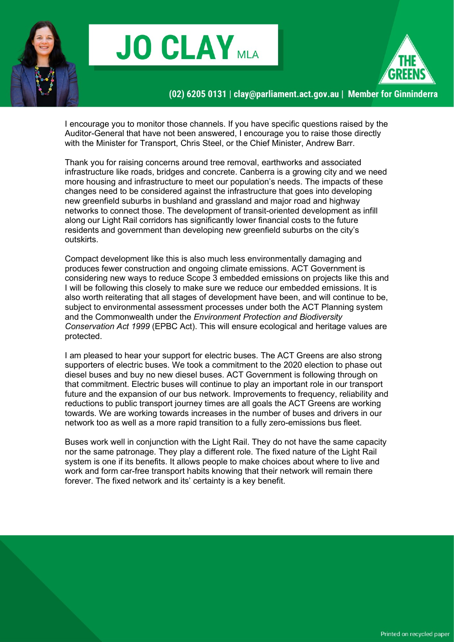





I encourage you to monitor those channels. If you have specific questions raised by the Auditor-General that have not been answered, I encourage you to raise those directly with the Minister for Transport, Chris Steel, or the Chief Minister, Andrew Barr.

Thank you for raising concerns around tree removal, earthworks and associated infrastructure like roads, bridges and concrete. Canberra is a growing city and we need more housing and infrastructure to meet our population's needs. The impacts of these changes need to be considered against the infrastructure that goes into developing new greenfield suburbs in bushland and grassland and major road and highway networks to connect those. The development of transit-oriented development as infill along our Light Rail corridors has significantly lower financial costs to the future residents and government than developing new greenfield suburbs on the city's outskirts.

Compact development like this is also much less environmentally damaging and produces fewer construction and ongoing climate emissions. ACT Government is considering new ways to reduce Scope 3 embedded emissions on projects like this and I will be following this closely to make sure we reduce our embedded emissions. It is also worth reiterating that all stages of development have been, and will continue to be, subject to environmental assessment processes under both the ACT Planning system and the Commonwealth under the Environment Protection and Biodiversity Conservation Act 1999 (EPBC Act). This will ensure ecological and heritage values are protected.

I am pleased to hear your support for electric buses. The ACT Greens are also strong supporters of electric buses. We took a commitment to the 2020 election to phase out diesel buses and buy no new diesel buses. ACT Government is following through on that commitment. Electric buses will continue to play an important role in our transport future and the expansion of our bus network. Improvements to frequency, reliability and reductions to public transport journey times are all goals the ACT Greens are working towards. We are working towards increases in the number of buses and drivers in our network too as well as a more rapid transition to a fully zero-emissions bus fleet.

Buses work well in conjunction with the Light Rail. They do not have the same capacity nor the same patronage. They play a different role. The fixed nature of the Light Rail system is one if its benefits. It allows people to make choices about where to live and work and form car-free transport habits knowing that their network will remain there forever. The fixed network and its' certainty is a key benefit.